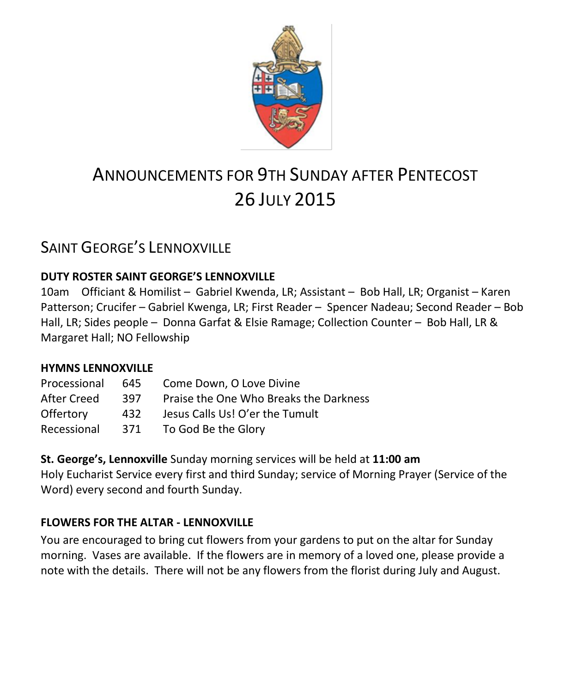

# ANNOUNCEMENTS FOR 9TH SUNDAY AFTER PENTECOST 26 JULY 2015

# SAINT GEORGE'S LENNOXVILLE

#### **DUTY ROSTER SAINT GEORGE'S LENNOXVILLE**

10am Officiant & Homilist – Gabriel Kwenda, LR; Assistant – Bob Hall, LR; Organist – Karen Patterson; Crucifer – Gabriel Kwenga, LR; First Reader – Spencer Nadeau; Second Reader – Bob Hall, LR; Sides people – Donna Garfat & Elsie Ramage; Collection Counter – Bob Hall, LR & Margaret Hall; NO Fellowship

#### **HYMNS LENNOXVILLE**

| Processional | 645  | Come Down, O Love Divine               |
|--------------|------|----------------------------------------|
| After Creed  | 397  | Praise the One Who Breaks the Darkness |
| Offertory    | 432  | Jesus Calls Us! O'er the Tumult        |
| Recessional  | -371 | To God Be the Glory                    |

**St. George's, Lennoxville** Sunday morning services will be held at **11:00 am** Holy Eucharist Service every first and third Sunday; service of Morning Prayer (Service of the Word) every second and fourth Sunday.

#### **FLOWERS FOR THE ALTAR - LENNOXVILLE**

You are encouraged to bring cut flowers from your gardens to put on the altar for Sunday morning. Vases are available. If the flowers are in memory of a loved one, please provide a note with the details. There will not be any flowers from the florist during July and August.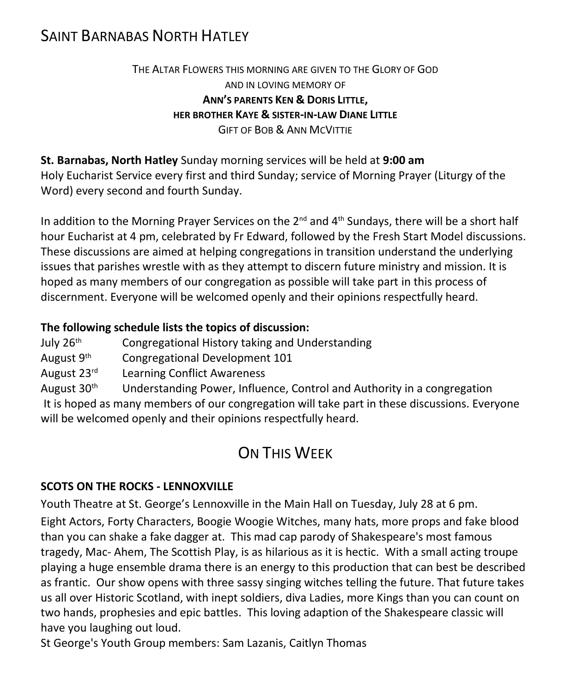### SAINT BARNABAS NORTH HATLEY

#### THE ALTAR FLOWERS THIS MORNING ARE GIVEN TO THE GLORY OF GOD AND IN LOVING MEMORY OF **ANN'S PARENTS KEN & DORIS LITTLE, HER BROTHER KAYE & SISTER-IN-LAW DIANE LITTLE** GIFT OF BOB & ANN MCVITTIE

**St. Barnabas, North Hatley** Sunday morning services will be held at **9:00 am** Holy Eucharist Service every first and third Sunday; service of Morning Prayer (Liturgy of the Word) every second and fourth Sunday.

In addition to the Morning Prayer Services on the  $2^{nd}$  and  $4^{th}$  Sundays, there will be a short half hour Eucharist at 4 pm, celebrated by Fr Edward, followed by the Fresh Start Model discussions. These discussions are aimed at helping congregations in transition understand the underlying issues that parishes wrestle with as they attempt to discern future ministry and mission. It is hoped as many members of our congregation as possible will take part in this process of discernment. Everyone will be welcomed openly and their opinions respectfully heard.

#### **The following schedule lists the topics of discussion:**

| July 26th | Congregational History taking and Understanding |
|-----------|-------------------------------------------------|
|-----------|-------------------------------------------------|

- August 9th Congregational Development 101
- August 23rd Learning Conflict Awareness

August  $30<sup>th</sup>$  Understanding Power, Influence, Control and Authority in a congregation It is hoped as many members of our congregation will take part in these discussions. Everyone will be welcomed openly and their opinions respectfully heard.

# ON THIS WEEK

#### **SCOTS ON THE ROCKS - LENNOXVILLE**

Youth Theatre at St. George's Lennoxville in the Main Hall on Tuesday, July 28 at 6 pm. Eight Actors, Forty Characters, Boogie Woogie Witches, many hats, more props and fake blood than you can shake a fake dagger at. This mad cap parody of Shakespeare's most famous tragedy, Mac- Ahem, The Scottish Play, is as hilarious as it is hectic. With a small acting troupe playing a huge ensemble drama there is an energy to this production that can best be described as frantic. Our show opens with three sassy singing witches telling the future. That future takes us all over Historic Scotland, with inept soldiers, diva Ladies, more Kings than you can count on two hands, prophesies and epic battles. This loving adaption of the Shakespeare classic will have you laughing out loud.

St George's Youth Group members: Sam Lazanis, Caitlyn Thomas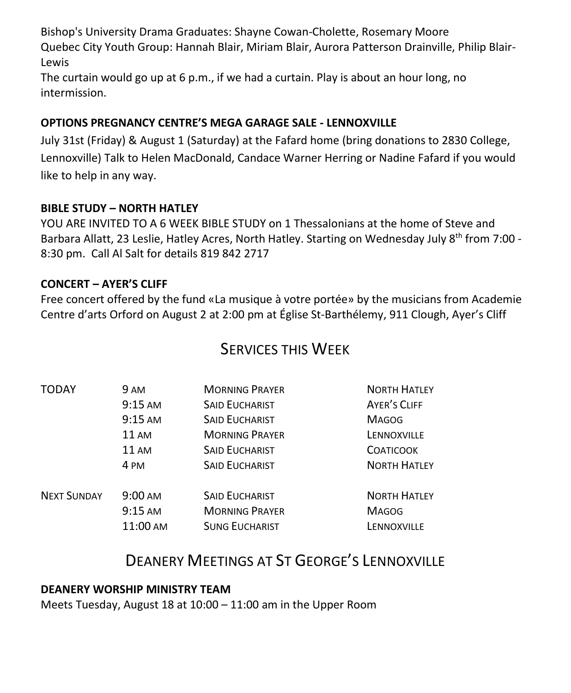Bishop's University Drama Graduates: Shayne Cowan-Cholette, Rosemary Moore Quebec City Youth Group: Hannah Blair, Miriam Blair, Aurora Patterson Drainville, Philip Blair-Lewis

The curtain would go up at 6 p.m., if we had a curtain. Play is about an hour long, no intermission.

#### **OPTIONS PREGNANCY CENTRE'S MEGA GARAGE SALE - LENNOXVILLE**

July 31st (Friday) & August 1 (Saturday) at the Fafard home (bring donations to 2830 College, Lennoxville) Talk to Helen MacDonald, Candace Warner Herring or Nadine Fafard if you would like to help in any way.

#### **BIBLE STUDY – NORTH HATLEY**

YOU ARE INVITED TO A 6 WEEK BIBLE STUDY on 1 Thessalonians at the home of Steve and Barbara Allatt, 23 Leslie, Hatley Acres, North Hatley. Starting on Wednesday July 8<sup>th</sup> from 7:00 -8:30 pm. Call Al Salt for details 819 842 2717

#### **CONCERT – AYER'S CLIFF**

Free concert offered by the fund «La musique à votre portée» by the musicians from Academie Centre d'arts Orford on August 2 at 2:00 pm at Église St-Barthélemy, 911 Clough, Ayer's Cliff

### SERVICES THIS WEEK

| <b>TODAY</b>       | <b>9 AM</b>       | <b>MORNING PRAYER</b> | <b>NORTH HATLEY</b> |
|--------------------|-------------------|-----------------------|---------------------|
|                    | $9:15$ AM         | <b>SAID EUCHARIST</b> | AYER'S CLIFF        |
|                    | $9:15$ AM         | <b>SAID EUCHARIST</b> | <b>MAGOG</b>        |
|                    | 11 AM             | <b>MORNING PRAYER</b> | LENNOXVILLE         |
|                    | <b>11 AM</b>      | <b>SAID EUCHARIST</b> | <b>COATICOOK</b>    |
|                    | 4 PM              | <b>SAID EUCHARIST</b> | <b>NORTH HATLEY</b> |
| <b>NEXT SUNDAY</b> | $9:00 \text{ AM}$ | <b>SAID EUCHARIST</b> | <b>NORTH HATLEY</b> |
|                    | $9:15 \text{ AM}$ | <b>MORNING PRAYER</b> | <b>MAGOG</b>        |
|                    | 11:00 AM          | <b>SUNG EUCHARIST</b> | LENNOXVILLE         |

## DEANERY MEETINGS AT ST GEORGE'S LENNOXVILLE

#### **DEANERY WORSHIP MINISTRY TEAM**

Meets Tuesday, August 18 at 10:00 – 11:00 am in the Upper Room